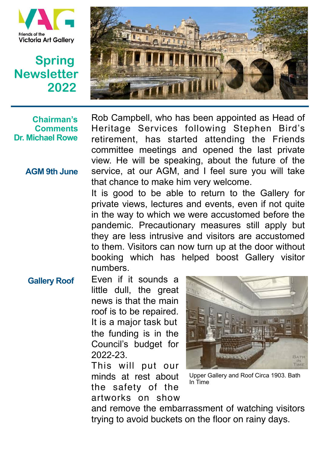

## **Spring Newsletter 2022**



 **Chairman's Comments Dr. Michael Rowe**

 **AGM 9th June**

Rob Campbell, who has been appointed as Head of Heritage Services following Stephen Bird's retirement, has started attending the Friends committee meetings and opened the last private view. He will be speaking, about the future of the service, at our AGM, and I feel sure you will take that chance to make him very welcome.

It is good to be able to return to the Gallery for private views, lectures and events, even if not quite in the way to which we were accustomed before the pandemic. Precautionary measures still apply but they are less intrusive and visitors are accustomed to them. Visitors can now turn up at the door without booking which has helped boost Gallery visitor numbers.

## Even if it sounds a little dull, the great news is that the main roof is to be repaired. It is a major task but the funding is in the  **Gallery Roof**

Council's budget for 2022-23.

This will put our minds at rest about the safety of the artworks on show



Upper Gallery and Roof Circa 1903. Bath In Time

and remove the embarrassment of watching visitors trying to avoid buckets on the floor on rainy days.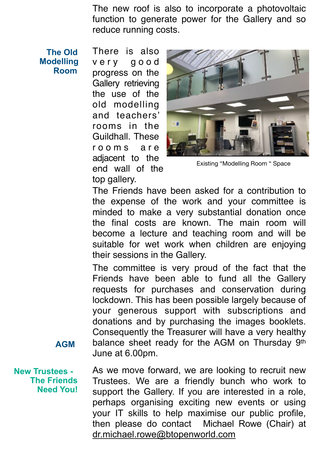The new roof is also to incorporate a photovoltaic function to generate power for the Gallery and so reduce running costs.

 **The Old Modelling Room** 

 **AGM** 

There is also very good progress on the Gallery retrieving the use of the old modelling and teachers' rooms in the Guildhall. These r o o m s a r e adjacent to the end wall of the top gallery.



Existing "Modelling Room " Space

The Friends have been asked for a contribution to the expense of the work and your committee is minded to make a very substantial donation once the final costs are known. The main room will become a lecture and teaching room and will be suitable for wet work when children are enjoying their sessions in the Gallery.

The committee is very proud of the fact that the Friends have been able to fund all the Gallery requests for purchases and conservation during lockdown. This has been possible largely because of your generous support with subscriptions and donations and by purchasing the images booklets. Consequently the Treasurer will have a very healthy balance sheet ready for the AGM on Thursday 9th June at 6.00pm.

As we move forward, we are looking to recruit new Trustees. We are a friendly bunch who work to support the Gallery. If you are interested in a role, perhaps organising exciting new events or using your IT skills to help maximise our public profile, then please do contact Michael Rowe (Chair) at [dr.michael.rowe@btopenworld.com](mailto:dr.michael.rowe@btopenworld.com) **New Trustees - The Friends Need You!**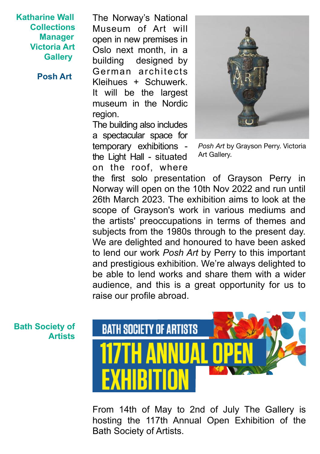**Katharine Wall Collections Manager Victoria Art Gallery** 

 **Posh Art** 

The Norway's National Museum of Art will open in new premises in Oslo next month, in a building designed by German architects Kleihues + Schuwerk. It will be the largest museum in the Nordic region.

The building also includes a spectacular space for temporary exhibitions the Light Hall - situated on the roof, where



*Posh Art* by Grayson Perry. Victoria Art Gallery.

the first solo presentation of Grayson Perry in Norway will open on the 10th Nov 2022 and run until 26th March 2023. The exhibition aims to look at the scope of Grayson's work in various mediums and the artists' preoccupations in terms of themes and subjects from the 1980s through to the present day. We are delighted and honoured to have been asked to lend our work *Posh Art* by Perry to this important and prestigious exhibition. We're always delighted to be able to lend works and share them with a wider audience, and this is a great opportunity for us to raise our profile abroad.

**Bath Society of Artists**



From 14th of May to 2nd of July The Gallery is hosting the 117th Annual Open Exhibition of the Bath Society of Artists.